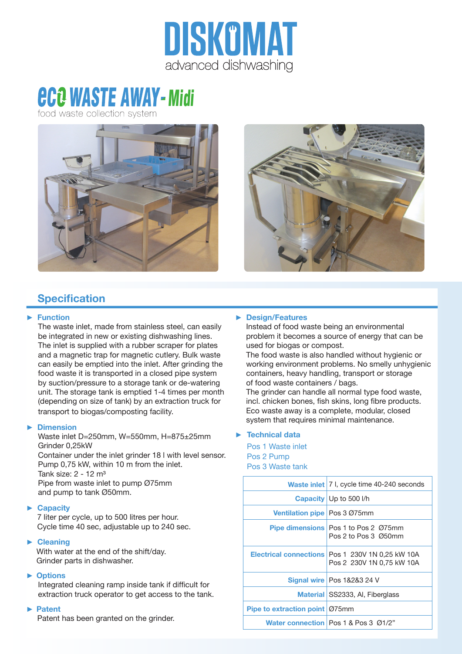

# *ece WASTE AWAY-Midi*

food waste collection sy





# **Specification**

#### ► **Function**

The waste inlet, made from stainless steel, can easily be integrated in new or existing dishwashing lines. The inlet is supplied with a rubber scraper for plates and a magnetic trap for magnetic cutlery. Bulk waste can easily be emptied into the inlet. After grinding the food waste it is transported in a closed pipe system by suction/pressure to a storage tank or de-watering unit. The storage tank is emptied 1-4 times per month (depending on size of tank) by an extraction truck for transport to biogas/composting facility.

## ► **Dimension**

Waste inlet D=250mm, W=550mm, H=875±25mm Grinder 0,25kW

Container under the inlet grinder 18 l with level sensor. Pump 0,75 kW, within 10 m from the inlet. Tank size: 2 - 12 m³ Pipe from waste inlet to pump Ø75mm and pump to tank Ø50mm.

## ► **Capacity**

7 liter per cycle, up to 500 litres per hour. Cycle time 40 sec, adjustable up to 240 sec.

## ► **Cleaning**

With water at the end of the shift/day. Grinder parts in dishwasher.

## ► **Options**

Integrated cleaning ramp inside tank if difficult for extraction truck operator to get access to the tank.

#### ► **Patent**

Patent has been granted on the grinder.

## ► **Design/Features**

Instead of food waste being an environmental problem it becomes a source of energy that can be used for biogas or compost.

The food waste is also handled without hygienic or working environment problems. No smelly unhygienic containers, heavy handling, transport or storage of food waste containers / bags.

The grinder can handle all normal type food waste, incl. chicken bones, fish skins, long fibre products. Eco waste away is a complete, modular, closed system that requires minimal maintenance.

## ► **Technical data**

Pos 1 Waste inlet Pos 2 Pump Pos 3 Waste tank

|                                  | <b>Waste inlet</b>   7 I, cycle time 40-240 seconds                             |
|----------------------------------|---------------------------------------------------------------------------------|
|                                  | Capacity   Up to 500 I/h                                                        |
| Ventilation pipe   Pos 3 Ø75mm   |                                                                                 |
|                                  | <b>Pipe dimensions</b> Pos 1 to Pos 2 075mm<br>Pos 2 to Pos 3 Ø50mm             |
|                                  | Electrical connections   Pos 1 230V 1N 0.25 kW 10A<br>Pos 2 230V 1N 0,75 kW 10A |
|                                  | <b>Signal wire Pos 1&amp;2&amp;3 24 V</b>                                       |
|                                  | Material SS2333, Al, Fiberglass                                                 |
| Pipe to extraction point   Ø75mm |                                                                                 |
|                                  | Water connection   Pos 1 & Pos 3 01/2"                                          |